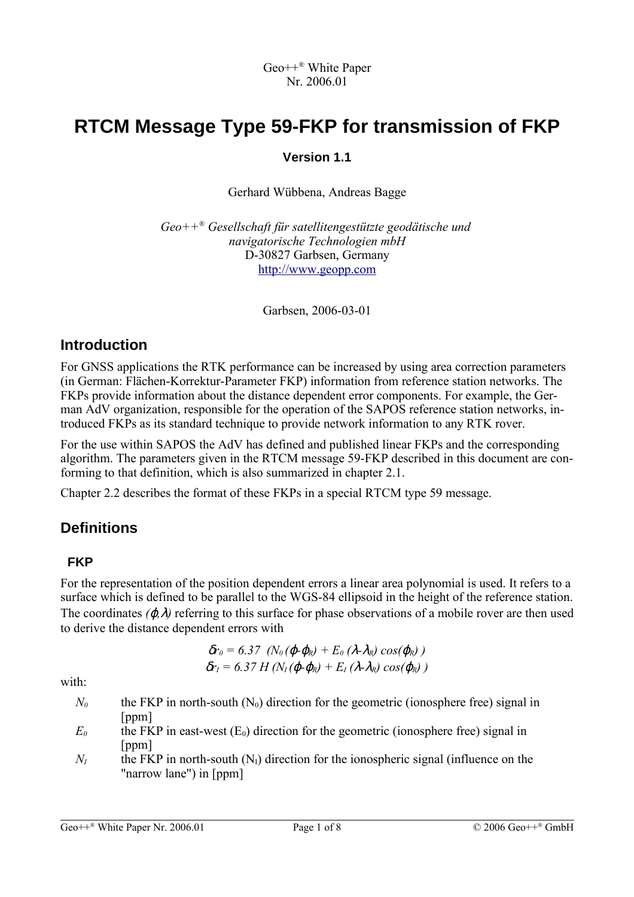# **RTCM Message Type 59-FKP for transmission of FKP**

#### **Version 1.1**

Gerhard Wübbena, Andreas Bagge

*Geo++ ® Gesellschaft für satellitengestützte geodätische und navigatorische Technologien mbH* D-30827 Garbsen, Germany [http://www.geopp.com](http://www.geopp.com/)

Garbsen, 2006-03-01

# **Introduction**

For GNSS applications the RTK performance can be increased by using area correction parameters (in German: Flächen-Korrektur-Parameter FKP) information from reference station networks. The FKPs provide information about the distance dependent error components. For example, the German AdV organization, responsible for the operation of the SAPOS reference station networks, introduced FKPs as its standard technique to provide network information to any RTK rover.

For the use within SAPOS the AdV has defined and published linear FKPs and the corresponding algorithm. The parameters given in the RTCM message 59-FKP described in this document are conforming to that definition, which is also summarized in chapter 2.1.

Chapter 2.2 describes the format of these FKPs in a special RTCM type 59 message.

# **Definitions**

# **FKP**

For the representation of the position dependent errors a linear area polynomial is used. It refers to a surface which is defined to be parallel to the WGS-84 ellipsoid in the height of the reference station. The coordinates *(*ϕ*,*λ*)* referring to this surface for phase observations of a mobile rover are then used to derive the distance dependent errors with

$$
\delta r_0 = 6.37 \ \left(N_0 \left(\boldsymbol{\varphi} \boldsymbol{\varphi_R}\right) + E_0 \left(\lambda \lambda_R\right) \cos(\boldsymbol{\varphi_R}\right) \big) \delta r_1 = 6.37 \ H \left(N_1 \left(\boldsymbol{\varphi} \boldsymbol{\varphi_R}\right) + E_1 \left(\lambda \lambda_R\right) \cos(\boldsymbol{\varphi_R}\right) \big)
$$

with:

- $N_0$  the FKP in north-south  $(N_0)$  direction for the geometric (ionosphere free) signal in [ppm]
- $E_0$  the FKP in east-west  $(E_0)$  direction for the geometric (ionosphere free) signal in [ppm]
- $N_I$  the FKP in north-south  $(N_I)$  direction for the ionospheric signal (influence on the "narrow lane") in [ppm]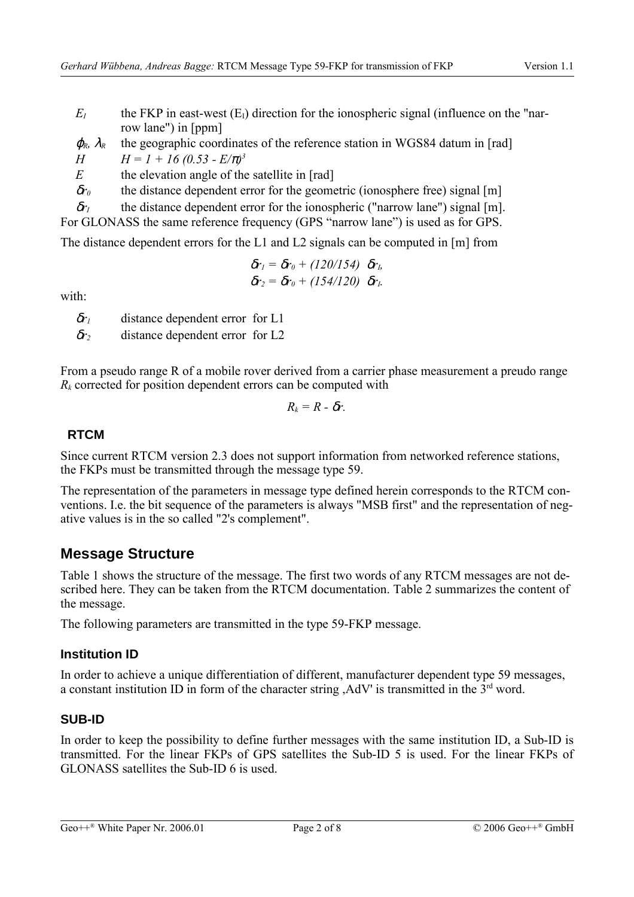- $E_I$  the FKP in east-west  $(E_I)$  direction for the ionospheric signal (influence on the "narrow lane") in [ppm]
- $\varphi_R$ ,  $\lambda_R$  the geographic coordinates of the reference station in WGS84 datum in [rad]
- *H*  $H = 1 + 16 (0.53 E/\pi)^3$

*E* the elevation angle of the satellite in [rad]

δ*r<sup>0</sup>* the distance dependent error for the geometric (ionosphere free) signal [m]

δ*r<sup>I</sup>* the distance dependent error for the ionospheric ("narrow lane") signal [m].

For GLONASS the same reference frequency (GPS "narrow lane") is used as for GPS.

The distance dependent errors for the L1 and L2 signals can be computed in [m] from

$$
\delta r_1 = \delta r_0 + (120/154) \delta r_1,
$$
  

$$
\delta r_2 = \delta r_0 + (154/120) \delta r_1.
$$

with:

δ*r<sup>1</sup>* distance dependent error for L1

δ*r<sup>2</sup>* distance dependent error for L2

From a pseudo range R of a mobile rover derived from a carrier phase measurement a preudo range  $R_k$  corrected for position dependent errors can be computed with

$$
R_k = R - \delta r.
$$

#### **RTCM**

Since current RTCM version 2.3 does not support information from networked reference stations, the FKPs must be transmitted through the message type 59.

The representation of the parameters in message type defined herein corresponds to the RTCM conventions. I.e. the bit sequence of the parameters is always "MSB first" and the representation of negative values is in the so called "2's complement".

# **Message Structure**

Table 1 shows the structure of the message. The first two words of any RTCM messages are not described here. They can be taken from the RTCM documentation. Table 2 summarizes the content of the message.

The following parameters are transmitted in the type 59-FKP message.

#### **Institution ID**

In order to achieve a unique differentiation of different, manufacturer dependent type 59 messages, a constant institution ID in form of the character string ,  $AdV'$  is transmitted in the  $3<sup>rd</sup>$  word.

# **SUB-ID**

In order to keep the possibility to define further messages with the same institution ID, a Sub-ID is transmitted. For the linear FKPs of GPS satellites the Sub-ID 5 is used. For the linear FKPs of GLONASS satellites the Sub-ID 6 is used.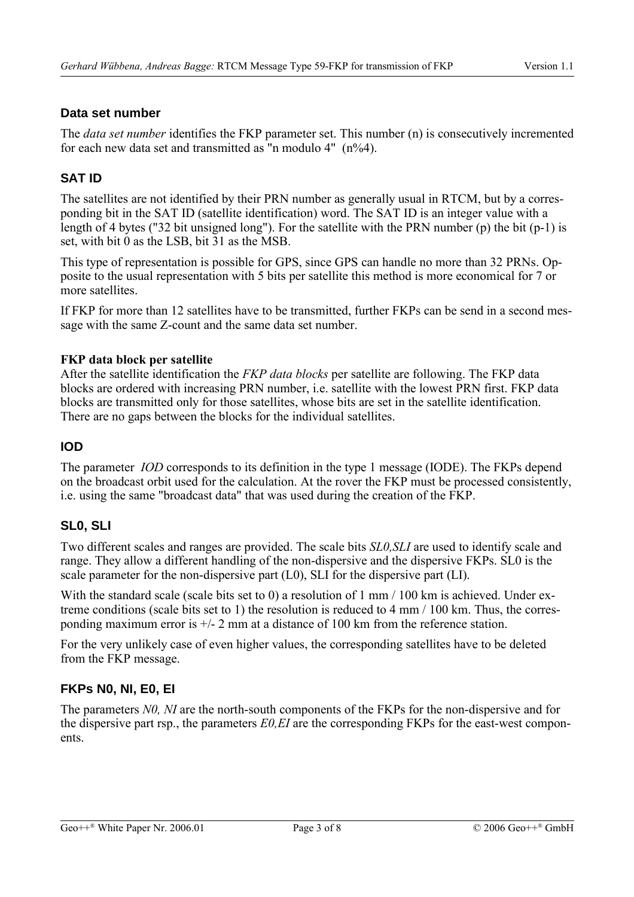#### **Data set number**

The *data set number* identifies the FKP parameter set. This number (n) is consecutively incremented for each new data set and transmitted as "n modulo  $4"$  (n%4).

#### **SAT ID**

The satellites are not identified by their PRN number as generally usual in RTCM, but by a corresponding bit in the SAT ID (satellite identification) word. The SAT ID is an integer value with a length of 4 bytes ("32 bit unsigned long"). For the satellite with the PRN number (p) the bit (p-1) is set, with bit 0 as the LSB, bit 31 as the MSB.

This type of representation is possible for GPS, since GPS can handle no more than 32 PRNs. Opposite to the usual representation with 5 bits per satellite this method is more economical for 7 or more satellites.

If FKP for more than 12 satellites have to be transmitted, further FKPs can be send in a second message with the same Z-count and the same data set number.

#### **FKP data block per satellite**

After the satellite identification the *FKP data blocks* per satellite are following. The FKP data blocks are ordered with increasing PRN number, i.e. satellite with the lowest PRN first. FKP data blocks are transmitted only for those satellites, whose bits are set in the satellite identification. There are no gaps between the blocks for the individual satellites.

#### **IOD**

The parameter *IOD* corresponds to its definition in the type 1 message (IODE). The FKPs depend on the broadcast orbit used for the calculation. At the rover the FKP must be processed consistently, i.e. using the same "broadcast data" that was used during the creation of the FKP.

#### **SL0, SLI**

Two different scales and ranges are provided. The scale bits *SL0,SLI* are used to identify scale and range. They allow a different handling of the non-dispersive and the dispersive FKPs. SL0 is the scale parameter for the non-dispersive part (L0), SLI for the dispersive part (LI).

With the standard scale (scale bits set to 0) a resolution of 1 mm / 100 km is achieved. Under extreme conditions (scale bits set to 1) the resolution is reduced to 4 mm / 100 km. Thus, the corresponding maximum error is +/- 2 mm at a distance of 100 km from the reference station.

For the very unlikely case of even higher values, the corresponding satellites have to be deleted from the FKP message.

# **FKPs N0, NI, E0, EI**

The parameters *N0, NI* are the north-south components of the FKPs for the non-dispersive and for the dispersive part rsp., the parameters *E0,EI* are the corresponding FKPs for the east-west components.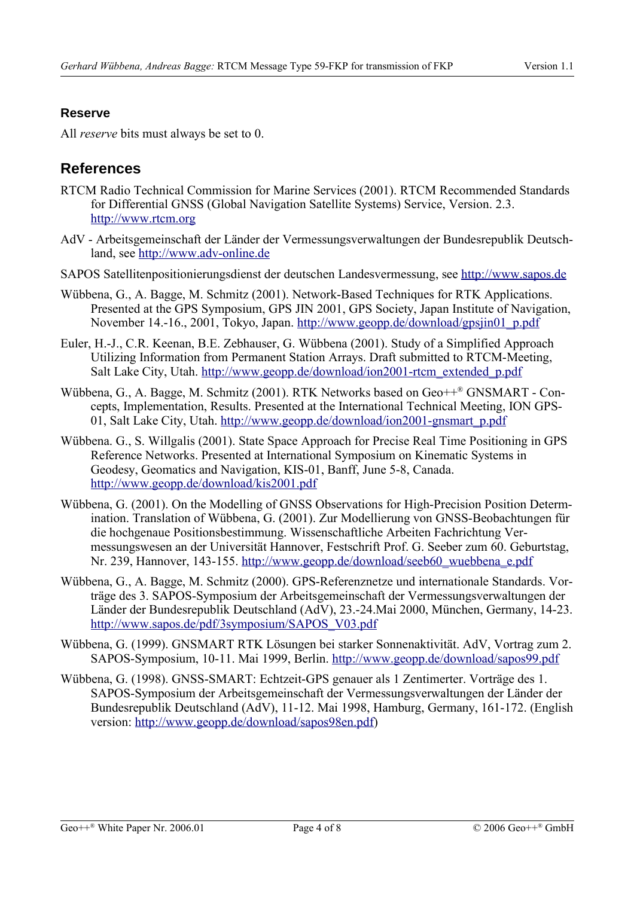#### **Reserve**

All *reserve* bits must always be set to 0.

# **References**

- RTCM Radio Technical Commission for Marine Services (2001). RTCM Recommended Standards for Differential GNSS (Global Navigation Satellite Systems) Service, Version. 2.3. [http://www.rtcm.org](http://www.rtcm.org/)
- AdV Arbeitsgemeinschaft der Länder der Vermessungsverwaltungen der Bundesrepublik Deutschland, see [http://www.adv-online.de](http://www.adv-online.de/)
- SAPOS Satellitenpositionierungsdienst der deutschen Landesvermessung, see [http://www.sapos.de](http://www.sapos.de/)
- Wübbena, G., A. Bagge, M. Schmitz (2001). Network-Based Techniques for RTK Applications. Presented at the GPS Symposium, GPS JIN 2001, GPS Society, Japan Institute of Navigation, November 14.-16., 2001, Tokyo, Japan. [http://www.geopp.de/download/gpsjin01\\_p.pdf](http://www.geopp.de/download/gpsjin01_p.pdf)
- Euler, H.-J., C.R. Keenan, B.E. Zebhauser, G. Wübbena (2001). Study of a Simplified Approach Utilizing Information from Permanent Station Arrays. Draft submitted to RTCM-Meeting, Salt Lake City, Utah. [http://www.geopp.de/download/ion2001-rtcm\\_extended\\_p.pdf](http://www.geopp.de/download/ion2001-rtcm_extended_p.pdf)
- Wübbena, G., A. Bagge, M. Schmitz (2001). RTK Networks based on Geo++® GNSMART Concepts, Implementation, Results. Presented at the International Technical Meeting, ION GPS-01, Salt Lake City, Utah. [http://www.geopp.de/download/ion2001-gnsmart\\_p.pdf](http://www.geopp.de/download/ion2001-gnsmart_p.pdf)
- Wübbena. G., S. Willgalis (2001). State Space Approach for Precise Real Time Positioning in GPS Reference Networks. Presented at International Symposium on Kinematic Systems in Geodesy, Geomatics and Navigation, KIS-01, Banff, June 5-8, Canada. <http://www.geopp.de/download/kis2001.pdf>
- Wübbena, G. (2001). On the Modelling of GNSS Observations for High-Precision Position Determination. Translation of Wübbena, G. (2001). Zur Modellierung von GNSS-Beobachtungen für die hochgenaue Positionsbestimmung. Wissenschaftliche Arbeiten Fachrichtung Vermessungswesen an der Universität Hannover, Festschrift Prof. G. Seeber zum 60. Geburtstag, Nr. 239, Hannover, 143-155. [http://www.geopp.de/download/seeb60\\_wuebbena\\_e.pdf](http://www.geopp.de/download/seeb60_wuebbena_e.pdf)
- Wübbena, G., A. Bagge, M. Schmitz (2000). GPS-Referenznetze und internationale Standards. Vorträge des 3. SAPOS-Symposium der Arbeitsgemeinschaft der Vermessungsverwaltungen der Länder der Bundesrepublik Deutschland (AdV), 23.-24.Mai 2000, München, Germany, 14-23. [http://www.sapos.de/pdf/3symposium/SAPOS\\_V03.pdf](http://www.sapos.de/pdf/3symposium/SAPOS_V03.pdf)
- Wübbena, G. (1999). GNSMART RTK Lösungen bei starker Sonnenaktivität. AdV, Vortrag zum 2. SAPOS-Symposium, 10-11. Mai 1999, Berlin. <http://www.geopp.de/download/sapos99.pdf>
- Wübbena, G. (1998). GNSS-SMART: Echtzeit-GPS genauer als 1 Zentimerter. Vorträge des 1. SAPOS-Symposium der Arbeitsgemeinschaft der Vermessungsverwaltungen der Länder der Bundesrepublik Deutschland (AdV), 11-12. Mai 1998, Hamburg, Germany, 161-172. (English version: [http://www.geopp.de/download/sapos98en.pdf\)](http://www.geopp.de/download/sapos98en.pdf)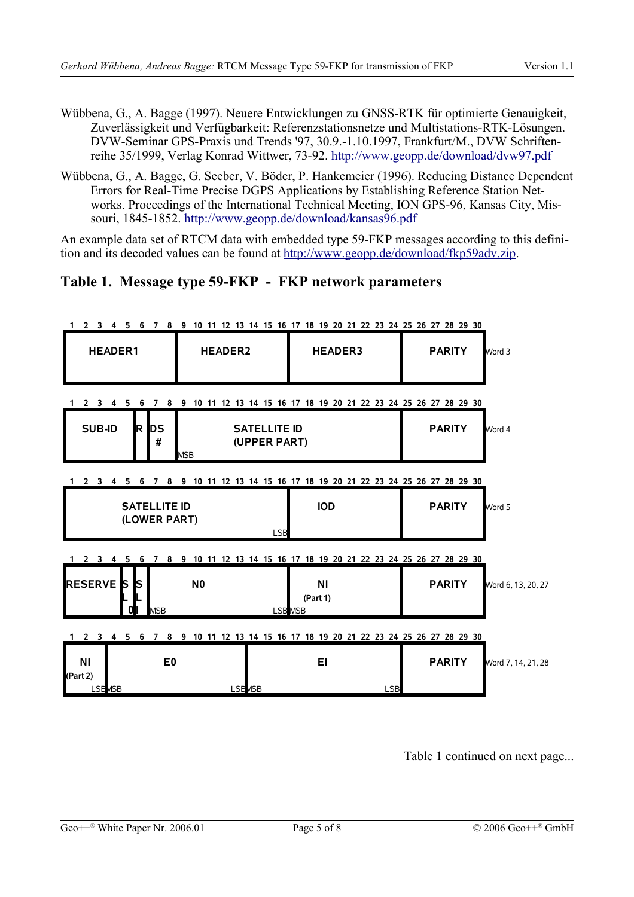- Wübbena, G., A. Bagge (1997). Neuere Entwicklungen zu GNSS-RTK für optimierte Genauigkeit, Zuverlässigkeit und Verfügbarkeit: Referenzstationsnetze und Multistations-RTK-Lösungen. DVW-Seminar GPS-Praxis und Trends '97, 30.9.-1.10.1997, Frankfurt/M., DVW Schriftenreihe 35/1999, Verlag Konrad Wittwer, 73-92. <http://www.geopp.de/download/dvw97.pdf>
- Wübbena, G., A. Bagge, G. Seeber, V. Böder, P. Hankemeier (1996). Reducing Distance Dependent Errors for Real-Time Precise DGPS Applications by Establishing Reference Station Networks. Proceedings of the International Technical Meeting, ION GPS-96, Kansas City, Missouri, 1845-1852. <http://www.geopp.de/download/kansas96.pdf>

An example data set of RTCM data with embedded type 59-FKP messages according to this definition and its decoded values can be found at <http://www.geopp.de/download/fkp59adv.zip>.

# **Table 1. Message type 59-FKP - FKP network parameters**

|                                                                                |                              | 1 2 3 4 5 6 7 8 9 10 11 12 13 14 15 16 17 18 19 20 21 22 23 24 25 26 27 28 29 30 |                                     |                       |            |               |                    |  |  |
|--------------------------------------------------------------------------------|------------------------------|----------------------------------------------------------------------------------|-------------------------------------|-----------------------|------------|---------------|--------------------|--|--|
| <b>HEADER1</b>                                                                 |                              | <b>HEADER2</b>                                                                   |                                     | <b>HEADER3</b>        |            | <b>PARITY</b> | Word 3             |  |  |
| 2 3 4 5 6 7 8 9 10 11 12 13 14 15 16 17 18 19 20 21 22 23 24 25 26 27 28 29 30 |                              |                                                                                  |                                     |                       |            |               |                    |  |  |
| <b>SUB-ID</b>                                                                  | R DS<br>#                    | <b>MSB</b>                                                                       | <b>SATELLITE ID</b><br>(UPPER PART) |                       |            | <b>PARITY</b> | Word 4             |  |  |
|                                                                                |                              | 1 2 3 4 5 6 7 8 9 10 11 12 13 14 15 16 17 18 19 20 21 22 23 24 25 26 27 28 29 30 |                                     |                       |            |               |                    |  |  |
| <b>SATELLITE ID</b><br>(LOWER PART)                                            |                              |                                                                                  | <b>LSB</b>                          | <b>IOD</b>            |            | <b>PARITY</b> | Word 5             |  |  |
|                                                                                |                              | 1 2 3 4 5 6 7 8 9 10 11 12 13 14 15 16 17 18 19 20 21 22 23 24 25 26 27 28 29 30 |                                     |                       |            |               |                    |  |  |
| <b>RESERVE</b> S                                                               | <b>IS</b><br><b>MSB</b><br>0 | N <sub>0</sub>                                                                   | <b>LSB</b> MSB                      | <b>NI</b><br>(Part 1) |            | <b>PARITY</b> | Word 6, 13, 20, 27 |  |  |
|                                                                                |                              | 1 2 3 4 5 6 7 8 9 10 11 12 13 14 15 16 17 18 19 20 21 22 23 24 25 26 27 28 29 30 |                                     |                       |            |               |                    |  |  |
| ΝI<br>(Part 2)<br><b>LSB<sub>MSB</sub></b>                                     | E <sub>0</sub>               | <b>LSB</b> <sub>MSB</sub>                                                        |                                     | EI                    | <b>LSB</b> | <b>PARITY</b> | Word 7, 14, 21, 28 |  |  |
|                                                                                |                              |                                                                                  |                                     |                       |            |               |                    |  |  |

Table 1 continued on next page...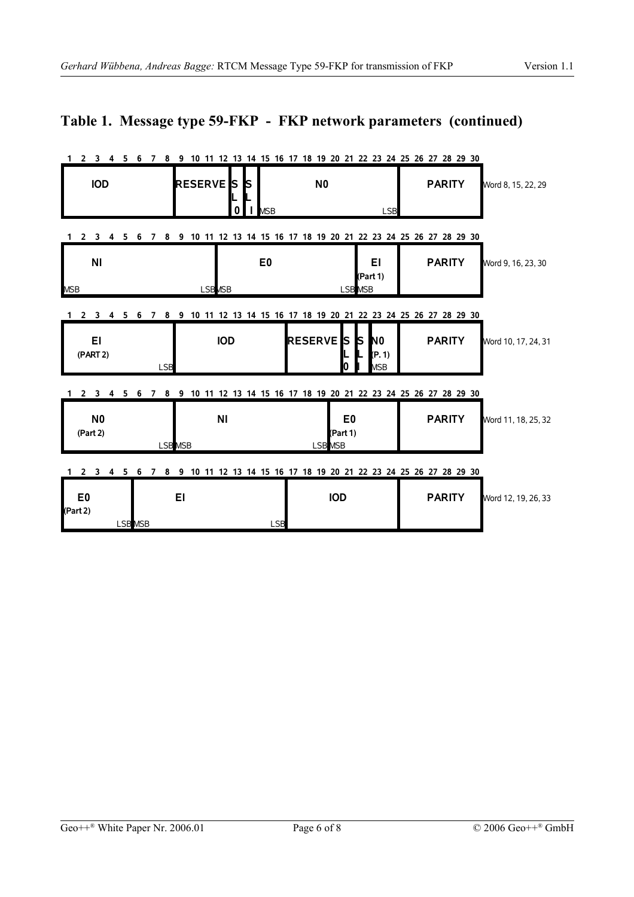# **Table 1. Message type 59-FKP - FKP network parameters (continued)**

|                                                                                                                       |                                                  | 2 3 4 5 6 7 8 9 10 11 12 13 14 15 16 17 18 19 20 21 22 23 24 25 26 27 28 29 30 |                                      |  |  |
|-----------------------------------------------------------------------------------------------------------------------|--------------------------------------------------|--------------------------------------------------------------------------------|--------------------------------------|--|--|
| <b>IOD</b>                                                                                                            | <b>RESERVE</b><br><b>IS</b><br>IS<br>$\mathbf 0$ | N <sub>0</sub><br><b>I</b> MSB<br><b>LSB</b>                                   | <b>PARITY</b><br>Word 8, 15, 22, 29  |  |  |
| 2 3 4 5                                                                                                               | 6 7                                              | 8 9 10 11 12 13 14 15 16 17 18 19 20 21 22 23 24 25 26 27 28 29 30             |                                      |  |  |
| N <sub>1</sub><br><b>MSB</b>                                                                                          | <b>LSB</b> <sub>MSB</sub>                        | E <sub>0</sub><br>EI<br>(Part 1)<br><b>LSB</b> MSB                             | <b>PARITY</b><br>Word 9, 16, 23, 30  |  |  |
|                                                                                                                       |                                                  |                                                                                |                                      |  |  |
| 2 3 4 5 6                                                                                                             | 8<br>7                                           | 9 10 11 12 13 14 15 16 17 18 19 20 21 22 23 24 25 26 27 28 29 30               |                                      |  |  |
| EI<br>(PART 2)                                                                                                        | <b>IOD</b><br><b>LSB</b>                         | <b>RESERVE</b> S<br>N <sub>0</sub><br>ls.<br>(P. 1)<br>10<br><b>MSB</b>        | <b>PARITY</b><br>Word 10, 17, 24, 31 |  |  |
| 1 2 3 4 5 6 7 8 9 10 11 12 13 14 15 16 17 18 19 20 21 22 23 24 25 26 27 28 29 30                                      |                                                  |                                                                                |                                      |  |  |
| N <sub>0</sub><br>(Part 2)                                                                                            | N <sub>1</sub><br><b>LSBMSB</b>                  | E0<br>(Part 1)<br><b>LSB</b> MSB                                               | <b>PARITY</b><br>Word 11, 18, 25, 32 |  |  |
| 8 9 10 11 12 13 14 15 16 17 18 19 20 21 22 23 24 25 26 27 28 29 30<br>2 <sub>3</sub><br>4 5 6<br>$\overline{7}$<br>1. |                                                  |                                                                                |                                      |  |  |
| E <sub>0</sub><br>(Part 2)                                                                                            | EI<br>LSB MSB                                    | <b>IOD</b><br><b>LSB</b>                                                       | <b>PARITY</b><br>Word 12, 19, 26, 33 |  |  |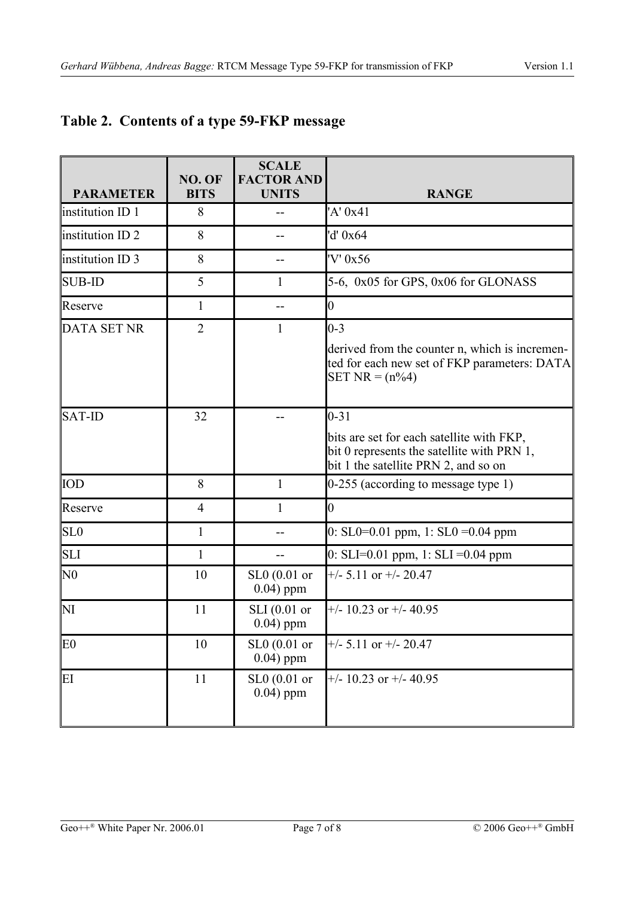| <b>PARAMETER</b>       | NO. OF<br><b>BITS</b> | <b>SCALE</b><br><b>FACTOR AND</b><br><b>UNITS</b> | <b>RANGE</b>                                                                                                                                |
|------------------------|-----------------------|---------------------------------------------------|---------------------------------------------------------------------------------------------------------------------------------------------|
| institution ID 1       | 8                     |                                                   | 'A' 0x41                                                                                                                                    |
| institution ID 2       | 8                     | --                                                | 'd' 0x64                                                                                                                                    |
| institution ID 3       | 8                     | --                                                | 'V' 0x56                                                                                                                                    |
| <b>SUB-ID</b>          | 5                     | $\mathbf{1}$                                      | 5-6, 0x05 for GPS, 0x06 for GLONASS                                                                                                         |
| Reserve                | $\mathbf{1}$          |                                                   | $\vert 0 \vert$                                                                                                                             |
| <b>DATA SET NR</b>     | $\overline{2}$        | 1                                                 | $ 0-3 $<br>derived from the counter n, which is incremen-<br>ted for each new set of FKP parameters: DATA<br>$SET NR = (n\%4)$              |
| $SAT$ -ID              | 32                    |                                                   | $0 - 31$<br>bits are set for each satellite with FKP,<br>bit 0 represents the satellite with PRN 1,<br>bit 1 the satellite PRN 2, and so on |
| IOD                    | 8                     | 1                                                 | $0-255$ (according to message type 1)                                                                                                       |
| Reserve                | 4                     | 1                                                 | $\overline{0}$                                                                                                                              |
| SL <sub>0</sub>        | $\mathbf{1}$          |                                                   | $0:$ SL0=0.01 ppm, 1: SL0 =0.04 ppm                                                                                                         |
| SLI                    | $\mathbf{1}$          |                                                   | $0: SLI = 0.01$ ppm, 1: $SLI = 0.04$ ppm                                                                                                    |
| $\overline{\rm N0}$    | 10                    | $SL0(0.01)$ or<br>$0.04$ ) ppm                    | $+/- 5.11$ or $+/- 20.47$                                                                                                                   |
| $\mathbf{N}\mathbf{I}$ | 11                    | $SLI$ (0.01 or<br>$0.04$ ) ppm                    | $+/- 10.23$ or $+/- 40.95$                                                                                                                  |
| E0                     | 10                    | $SL0(0.01)$ or<br>$0.04$ ) ppm                    | $+/- 5.11$ or $+/- 20.47$                                                                                                                   |
| ΈI                     | 11                    | $SL0(0.01$ or<br>$0.04$ ) ppm                     | $+/- 10.23$ or $+/- 40.95$                                                                                                                  |